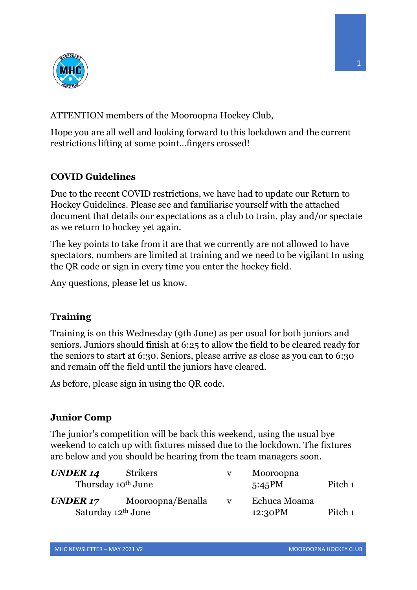

ATTENTION members of the Mooroopna Hockey Club,

Hope you are all well and looking forward to this lockdown and the current restrictions lifting at some point…fingers crossed!

## **COVID Guidelines**

Due to the recent COVID restrictions, we have had to update our Return to Hockey Guidelines. Please see and familiarise yourself with the attached document that details our expectations as a club to train, play and/or spectate as we return to hockey yet again.

The key points to take from it are that we currently are not allowed to have spectators, numbers are limited at training and we need to be vigilant In using the QR code or sign in every time you enter the hockey field.

Any questions, please let us know.

## **Training**

Training is on this Wednesday (9th June) as per usual for both juniors and seniors. Juniors should finish at 6:25 to allow the field to be cleared ready for the seniors to start at 6:30. Seniors, please arrive as close as you can to 6:30 and remain off the field until the juniors have cleared.

As before, please sign in using the QR code.

## **Junior Comp**

The junior's competition will be back this weekend, using the usual bye weekend to catch up with fixtures missed due to the lockdown. The fixtures are below and you should be hearing from the team managers soon.

| <b>UNDER 14</b>                            | Strikers          | v            | Mooroopna               |         |
|--------------------------------------------|-------------------|--------------|-------------------------|---------|
| Thursday 10 <sup>th</sup> June             |                   |              | 5:45PM                  | Pitch 1 |
| UNDER 17<br>Saturday 12 <sup>th</sup> June | Mooroopna/Benalla | $\mathbf{V}$ | Echuca Moama<br>12:30PM | Pitch 1 |